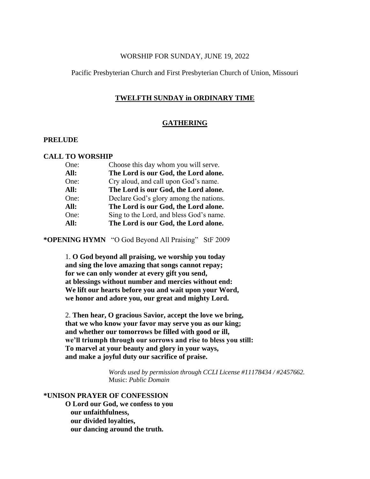## WORSHIP FOR SUNDAY, JUNE 19, 2022

## Pacific Presbyterian Church and First Presbyterian Church of Union, Missouri

## **TWELFTH SUNDAY in ORDINARY TIME**

## **GATHERING**

## **PRELUDE**

## **CALL TO WORSHIP**

| Choose this day whom you will serve.    |
|-----------------------------------------|
| The Lord is our God, the Lord alone.    |
| Cry aloud, and call upon God's name.    |
| The Lord is our God, the Lord alone.    |
| Declare God's glory among the nations.  |
| The Lord is our God, the Lord alone.    |
| Sing to the Lord, and bless God's name. |
| The Lord is our God, the Lord alone.    |
|                                         |

**\*OPENING HYMN** "O God Beyond All Praising" StF 2009

1. **O God beyond all praising, we worship you today and sing the love amazing that songs cannot repay; for we can only wonder at every gift you send, at blessings without number and mercies without end: We lift our hearts before you and wait upon your Word, we honor and adore you, our great and mighty Lord.**

2. **Then hear, O gracious Savior, accept the love we bring, that we who know your favor may serve you as our king; and whether our tomorrows be filled with good or ill, we'll triumph through our sorrows and rise to bless you still: To marvel at your beauty and glory in your ways, and make a joyful duty our sacrifice of praise.**

> *Words used by permission through CCLI License #11178434 / #2457662.* Music: *Public Domain*

# **\*UNISON PRAYER OF CONFESSION**

**O Lord our God, we confess to you our unfaithfulness, our divided loyalties, our dancing around the truth.**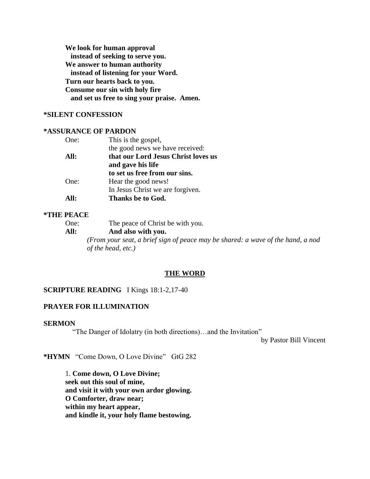**We look for human approval instead of seeking to serve you. We answer to human authority instead of listening for your Word. Turn our hearts back to you. Consume our sin with holy fire and set us free to sing your praise. Amen.**

## **\*SILENT CONFESSION**

## **\*ASSURANCE OF PARDON**

| One: | This is the gospel,                 |
|------|-------------------------------------|
|      | the good news we have received:     |
| All: | that our Lord Jesus Christ loves us |
|      | and gave his life                   |
|      | to set us free from our sins.       |
| One: | Hear the good news!                 |
|      | In Jesus Christ we are forgiven.    |
| All: | Thanks be to God.                   |

#### **\*THE PEACE**

- One: The peace of Christ be with you.
- **All: And also with you.**

*(From your seat, a brief sign of peace may be shared: a wave of the hand, a nod of the head, etc.)*

#### **THE WORD**

# **SCRIPTURE READING** I Kings 18:1-2,17-40

## **PRAYER FOR ILLUMINATION**

## **SERMON**

"The Danger of Idolatry (in both directions)…and the Invitation"

by Pastor Bill Vincent

**\*HYMN** "Come Down, O Love Divine" GtG 282

1. **Come down, O Love Divine; seek out this soul of mine, and visit it with your own ardor glowing. O Comforter, draw near; within my heart appear, and kindle it, your holy flame bestowing.**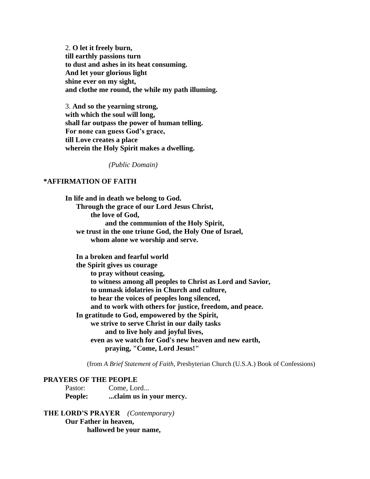2. **O let it freely burn, till earthly passions turn to dust and ashes in its heat consuming. And let your glorious light shine ever on my sight, and clothe me round, the while my path illuming.**

3. **And so the yearning strong, with which the soul will long, shall far outpass the power of human telling. For none can guess God's grace, till Love creates a place wherein the Holy Spirit makes a dwelling.**

*(Public Domain)*

# **\*AFFIRMATION OF FAITH**

**In life and in death we belong to God. Through the grace of our Lord Jesus Christ, the love of God, and the communion of the Holy Spirit, we trust in the one triune God, the Holy One of Israel, whom alone we worship and serve.**

 **In a broken and fearful world the Spirit gives us courage to pray without ceasing, to witness among all peoples to Christ as Lord and Savior, to unmask idolatries in Church and culture, to hear the voices of peoples long silenced, and to work with others for justice, freedom, and peace. In gratitude to God, empowered by the Spirit, we strive to serve Christ in our daily tasks and to live holy and joyful lives, even as we watch for God's new heaven and new earth, praying, "Come, Lord Jesus!"**

(from *A Brief Statement of Faith*, Presbyterian Church (U.S.A.) Book of Confessions)

## **PRAYERS OF THE PEOPLE**

Pastor: Come, Lord... **People: ...claim us in your mercy.**

**THE LORD'S PRAYER** *(Contemporary)* **Our Father in heaven, hallowed be your name,**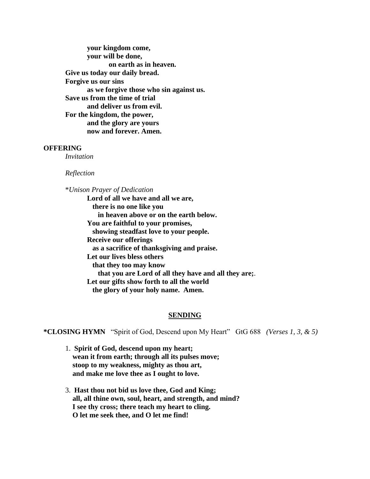**your kingdom come, your will be done, on earth as in heaven. Give us today our daily bread. Forgive us our sins as we forgive those who sin against us. Save us from the time of trial and deliver us from evil. For the kingdom, the power, and the glory are yours now and forever. Amen.**

## **OFFERING**

*Invitation*

*Reflection*

\**Unison Prayer of Dedication*

**Lord of all we have and all we are, there is no one like you in heaven above or on the earth below. You are faithful to your promises, showing steadfast love to your people. Receive our offerings as a sacrifice of thanksgiving and praise. Let our lives bless others that they too may know that you are Lord of all they have and all they are;**. **Let our gifts show forth to all the world the glory of your holy name. Amen.**

#### **SENDING**

**\*CLOSING HYMN** "Spirit of God, Descend upon My Heart" GtG 688 *(Verses 1, 3, & 5)*

- 1. **Spirit of God, descend upon my heart; wean it from earth; through all its pulses move; stoop to my weakness, mighty as thou art, and make me love thee as I ought to love.**
- 3. **Hast thou not bid us love thee, God and King; all, all thine own, soul, heart, and strength, and mind? I see thy cross; there teach my heart to cling. O let me seek thee, and O let me find!**